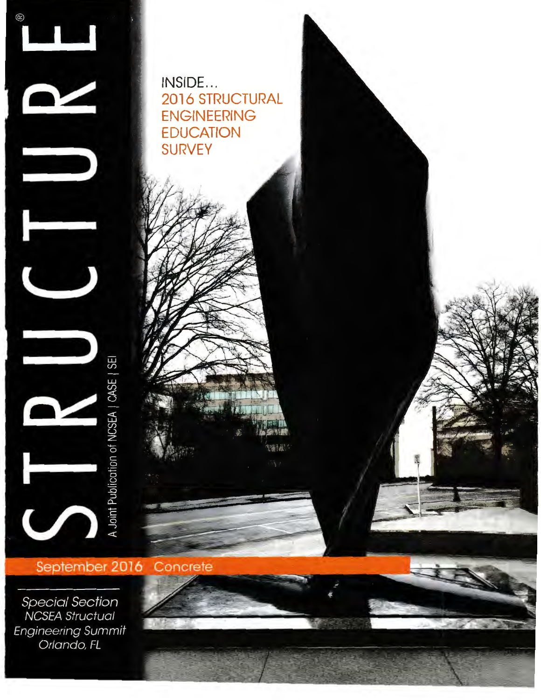

INSIDE... 2016 STRUCTURAL ENGINEERING **EDUCATION** SURVEY

不可调 输尿

September 2016 Concrete

**Special Section NCSEA Structual Engineering Summit** Orlando, FL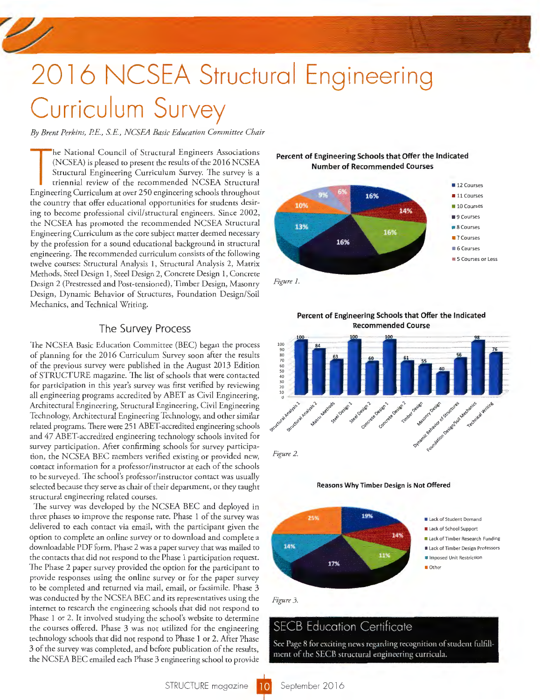# 2016 NCSEA Structural Engineering Curriculum Survey

*By Brent Perkins,* PE., SE., *NCSEA Basic Education Committee Chair* 

The National Council of Structural Engineers Associations<br>
(NCSEA) is pleased to present the results of the 2016 NCSEA<br>
Structural Engineering Curriculum Survey. The survey is a<br>
triennial review of the recommended NCSEA S he National Council of Structural Engineers Associations (NCSEA) is pleased to present the results of the 2016 NCSEA Structural Engineering Curriculum Survey. The survey is a triennial review of the recommended NCSEA Structural the country that offer educational opportunities for students desiring to become professional civil/structural engineers. Since 2002, the NCSEA has promoted the recommended NCSEA Structural Engineering Curriculum as the core subject matter deemed necessary by the profession for a sound educational background in structural engineering. The recommended curriculum consists of the following twelve courses: Structural Analysis 1, Structural Analysis 2, Matrix Methods, Steel Design 1, Steel Design 2, Concrete Design 1, Concrete Design 2 (Prestressed and Post-tensioned), Timber Design, Masonry Design, Dynamic Behavior of Structures, Foundation Design/Soil Mechanics, and Technical Writing.

### The Survey Process

The NCSEA Basic Education Committee (BEC) began the process of planning for the 2016 Curriculum Survey soon after the results of the previous survey were published in the August 2013 Edition of STRUCTURE magazine. The list of schools that were contacted for participation in this year's survey was first verified by reviewing all engineering programs accredited by ABET as Civil Engineering, Architectural Engineering, Structural Engineering, Civil Engineering Technology, Architectural Engineering Technology, and other similar related programs. There were 251 ABET-accredited engineering schools and 47 ABET-accredited engineering technology schools invited for survey participation. After confirming schools for survey participation, the NCSEA BEC members verified existing or provided new, contact information for a professor/instructor at each of rhe schools to be surveyed. The school's professor/instructor contact was usually selected because they serve as chair of their department, or they taught structural engineering related courses.

The survey was developed by the NCSEA BEC and deployed in three phases to improve the response rate. Phase 1 of the survey was delivered to each contact via email, with the participant given the option to complete an online survey or to download and complete a downloadable PDF form. Phase 2 was a paper survey that was mailed to the contacts that did not respond to the Phase 1 participation request. The Phase 2 paper survey provided the option for the participant to provide responses using the online survey or for the paper survey to be completed and returned via mail, email, or facsimile. Phase 3 was conducted by the NCSEA BEC and its representatives using the internet to research the engineering schools that did not respond to Phase 1 or 2. It involved studying the school's website to determine the courses offered. Phase 3 was not utilized for the engineering technology schools that did not respond to Phase 1 or 2. After Phase 3 of the survey was completed, and before publication of the results, the NCSEA BEC emailed each Phase 3 engineering school to provide

#### **Percent of Engineering Schools that Offer the Indicated Number of Recommended Courses**



*Figure* J.









*Figure 3.* 

# SECB Education Certificate

See Page 8 for exciting news regarding recognition of student fulfillment of the SECB structural engineering curricula.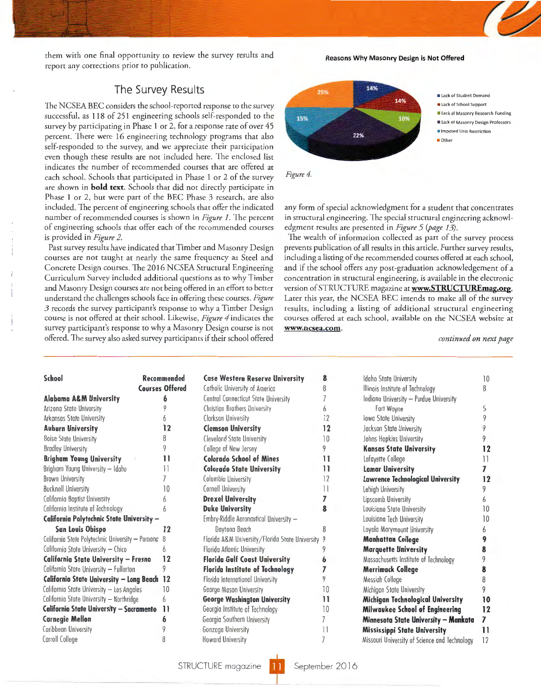them with one final opportunity to review the survey results and report any corrections prior to publication.

#### Reasons Why Masonry Design is Not Offered

## The Survey Results

The NCSEA BEC considers the school-reported response to the survey successful, as 118 of 251 engineering schools self-responded to the survey by participating in Phase 1 or 2, for a response rate of over 45 percent. There were 16 engineering technology programs that also self-responded to the survey, and we appreciate their participation even though these results are not included here. The enclosed list indicates the number of recommended courses that are offered at each school. Schools that participated in Phase 1 or 2 of the survey are shown in **bold text**. Schools that did not directly participate in Phase 1 or 2, bur were part of the BEC Phase 3 research, are also included. The percent of engineering schools that offer the indicated number of recommended courses is shown in *Figure 1.* The percent of engineering schools that offer each of the recommended courses is provided in *Figure 2.* 

Past survey results have indicated that Timber and Masonry Design courses are not taught at nearly the same frequency as Steel and Concrete Design courses. The 2016 NCSEA Structural Engineering Curriculum Survey included additional questions as to why Timber and Masonry Design courses are not being offered in an effort to better understand the challenges schools face in offering these courses. *Figure 3* records the survey participant's response to why a Timber Design course is nor offered ar rheir school. Likewise, *Figure 4* indicates the survey participant's response to why a Masonry Design course is not offered. The survey also asked survey participants if their school offered



any form of special acknowledgment for a student that concentrates in structural engineering. The special structural engineering acknowledgment results are presented in *Figure* 5 *(page* 13).

The wealth of information collected as part of the survey process prevents publication of all results in this article. Further survey results, including a listing of the recommended courses offered at each school, and if the school offers any post-graduation acknowledgement of a concentration in structural engineering, is available in the electronic version of STRUCTURE magazine at **www.STRUCTUREmag.org**. Later this year, the NCSEA BEC intends to make all of the survey results, including a listing of additional structural engineering courses offered at each school, available on the NCSEA website at www.ncsea.com.

*continued on next page* 

| School                                             | Recommended            | <b>Case Western Reserve University</b>            | 8  | Idaho State University                        | 10           |
|----------------------------------------------------|------------------------|---------------------------------------------------|----|-----------------------------------------------|--------------|
|                                                    | <b>Courses Offered</b> | Catholic University of America                    | 8  | Illinois Institute of Technology              | 8            |
| <b>Alabama A&amp;M University</b>                  | 6                      | Central Connecticut State University              |    | Indiana University - Purdue University        |              |
| Arizona State University                           |                        | Christian Brothers University                     | 6  | Fort Wayne                                    | 5            |
| Arkansas State University                          |                        | Clarkson University                               | 12 | lowa State University                         |              |
| <b>Auburn University</b>                           | 12                     | <b>Clemson University</b>                         | 12 | Jackson State University                      |              |
| <b>Boise State University</b>                      |                        | Clevelond State University                        | 10 | Johns Hopkins University                      |              |
| <b>Bradley University</b>                          |                        | College of New Jersey                             | 9  | <b>Kansas State University</b>                | 12           |
| <b>Brigham Young University</b>                    | 11                     | <b>Colorado School of Mines</b>                   | 11 | Lafayette College                             | 11           |
| Brigham Young University - Idaho                   |                        | <b>Colorado State University</b>                  | 11 | <b>Lamar University</b>                       |              |
| Brown University                                   |                        | Columbia University                               | 12 | <b>Lawrence Technological University</b>      | 12           |
| <b>Bucknell University</b>                         | 10                     | Cornell University                                | 11 | Lehigh University                             |              |
| California Baptist University                      |                        | <b>Drexel University</b>                          |    | Lipscomb University                           | 6            |
| California Institute of Technology                 | 6                      | <b>Duke University</b>                            | 8  | Louisiano State University                    | 10           |
| California Polytechnic State University -          |                        | Embry-Riddle Aeronautical University -            |    | Louisiana Tech University                     | 10           |
| <b>San Louis Obispo</b>                            | 12                     | Daytona Beach                                     | 8  | Loyola Marymount University                   |              |
| California State Polytechnic University - Pomona 8 |                        | Florida A&M University/Florida State University 9 |    | <b>Manhattan College</b>                      |              |
| California Stote University - Chico                | 6                      | Florida Atlantic University                       |    | <b>Marquette University</b>                   |              |
| California State University - Fresno               | 12                     | <b>Florida Gulf Coast University</b>              | 6  | Massachusetts Institute of Technology         |              |
| California State University - Fullerton            | 9                      | <b>Florida Institute of Technology</b>            |    | <b>Merrimack College</b>                      |              |
| California State University - Long Beach 12        |                        | Florida International University                  |    | Messigh College                               |              |
| California State University - Los Angeles          | 10                     | George Mason University                           | 10 | Michigan State University                     |              |
| California State University - Northridge           | 6                      | <b>George Washington University</b>               | 11 | Michigan Technological University             | 10           |
| California State University - Sacramento           | -11                    | Georgia Institute of Technalogy                   | 10 | Milwaukee School of Engineering               | 12           |
| <b>Carnegie Mellon</b>                             |                        | Georgia Southern University                       |    | Minnesota State University - Mankata          | 7            |
| Caribbean University                               |                        | Gonzaga University                                | 11 | <b>Mississippi State University</b>           | $\mathbf{1}$ |
| Carroll College                                    |                        | <b>Howard University</b>                          |    | Missouri University of Science and Technology | 12           |

| Idaho State University                        | 10              |
|-----------------------------------------------|-----------------|
| Illinois Institute of Technology              | 8               |
| Indiana University - Purdue University        |                 |
| Fort Wayne                                    | 5               |
| lowa State University                         | 9               |
| Jackson State University                      | 9               |
| Johns Hopkins University                      | 9               |
| <b>Kansas State University</b>                | 12              |
| Lafayette College                             | $\overline{11}$ |
| <b>Lamar University</b>                       | 7               |
| Lawrence Technological University             | 12              |
| Lehigh University                             | 9               |
| Lipscomb University                           | 6               |
| Louisiano State University                    | 10              |
| Louisiana Tech University                     | 10              |
| Loyola Marymount University                   | 6               |
| <b>Manhattan College</b>                      | 9               |
| <b>Marquette University</b>                   | 8               |
| Massachusetts Institute of Technology         | 9               |
| Merrimack College                             | 8               |
| Messiah College                               | 8               |
| Michigan State University                     | 9               |
| Michigan Technological University             | 10              |
| Milwaukee School of Engineering               | 12              |
| Minnesota State University - Mankata          | 7               |
| Mississippi State University                  | 11              |
| Missouri University of Science and Technology | 12              |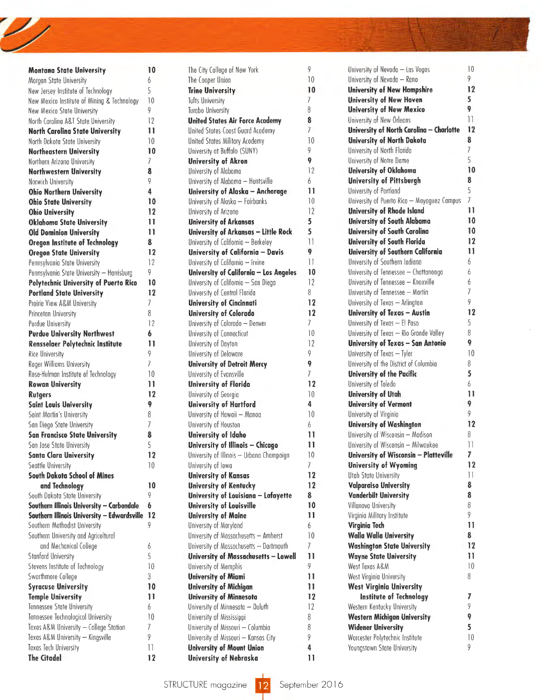| <b>Montana State University</b>             | 10              |
|---------------------------------------------|-----------------|
| Morgan State University                     | 6               |
| New Jersey Institute of Technology          | 5               |
| New Mexico Institute of Mining & Technology | 10              |
| New Mexico State University                 | 9               |
| North Carolina A&T State University         | 12              |
| North Carolina State University             | 11              |
|                                             |                 |
| North Dakota State University               | 10              |
| <b>Northeastern University</b>              | 10              |
| Northern Arizona University                 | $\overline{1}$  |
| <b>Northwestern University</b>              | 8               |
| Norwich University                          | 9               |
| <b>Ohio Northern University</b>             | 4               |
| <b>Ohio State University</b>                | 10              |
| <b>Ohio University</b>                      | 12              |
|                                             | п               |
| <b>Oklahoma State University</b>            |                 |
| <b>Old Dominion University</b>              | 11              |
| <b>Oregon Institute of Technology</b>       | 8               |
| <b>Oregon State University</b>              | 12              |
| Pennsylvania State University               | 12              |
| Pennsylvania State University - Harrisburg  | 9               |
| Polytechnic University of Puerto Rico       | 10              |
| <b>Portland State University</b>            | 12              |
| Proirie View A&M University                 | 7               |
| Princeton University                        | 8               |
|                                             |                 |
| Purdue University                           | 12              |
| <b>Purdue University Northwest</b>          | 6               |
| Rensselaer Polytechnic Institute            | 11              |
| <b>Rice University</b>                      | 9               |
| Roger Williams University                   | $\overline{1}$  |
| Rose-Hulman Institute of Technology         | 10              |
| <b>Rowan University</b>                     | 11              |
| Rutgers                                     | 12              |
| <b>Saint Louis University</b>               | 9               |
| Saint Martin's University                   | 8               |
|                                             |                 |
| San Diego State University                  | 7               |
| <b>San Francisco State University</b>       | 8               |
| San Jose State University                   | 5               |
| <b>Santa Clara University</b>               | 12              |
| Seattle University                          | $\overline{10}$ |
| <b>South Dakota School of Mines</b>         |                 |
| and Technology                              | 10              |
| South Dakota State University               | 9               |
| Southern Illinois University - Carbondale   | 6               |
| Southern Illinois University - Edwardsville | 12              |
| Southern Methodist University               | 9               |
|                                             |                 |
| Southern University and Agricultural        |                 |
| and Mechanical College                      | 6               |
| <b>Stanfard University</b>                  | 5               |
| Stevens Institute of Technology             | 10              |
| Swarthmore College                          | 3               |
| <b>Syracuse University</b>                  | 10              |
| <b>Temple University</b>                    | 11              |
| Tennessee State University                  | 6               |
|                                             |                 |
| Tennessee Technological University          | $\overline{10}$ |
| Texos A&M University - College Station      | 7               |
| Texas A&M University - Kingsville           | 9               |
| Texas Tech University                       | Ħ               |
| <b>The Citadel</b>                          | 12              |

| Montana State University                       | 10                                    | The City College of New York              | 9                    | University of Nevodo - Las Vegos                       | $\overline{\phantom{0}}$              |
|------------------------------------------------|---------------------------------------|-------------------------------------------|----------------------|--------------------------------------------------------|---------------------------------------|
| Morgan State University                        | 6                                     | The Cooper Union                          | $\overline{10}$      | University of Nevada - Reno                            | 9                                     |
| New Jersey Institute of Technology             | 5                                     | <b>Trine University</b>                   | 10                   | <b>University of New Hampshire</b>                     | 12                                    |
| New Mexico Institute of Mining & Technology    | 10                                    | <b>Tufts University</b>                   | 7                    | <b>University of New Hoven</b>                         | 5                                     |
| New Mexico State University                    | 9                                     | <b>Turabo University</b>                  | 8                    | <b>University of New Mexico</b>                        | 9                                     |
| North Carolina A&T State University            | 12                                    | <b>United States Air Force Academy</b>    | 8                    | University of New Orleans                              | $\overline{\mathcal{L}}$              |
| North Carolina State University                | 11                                    | United Stotes Coost Guard Acodemy         | 7                    | University of North Carolina - Charlotte               | 12                                    |
| North Dakota State University                  | 10                                    | United States Military Acodemy            | 10                   | <b>University of North Dakota</b>                      | 8                                     |
| <b>Northeastern University</b>                 | 10                                    | University at Buffalo (SUNY)              | 9                    | University of North Florida                            | 7                                     |
| Northern Arizona University                    | 7                                     | <b>University of Akron</b>                | 9                    | University of Notre Dame                               | 5                                     |
| Northwestern University                        | 8                                     | University of Alabama                     | 12                   | <b>University of Oklahoma</b>                          | 10                                    |
| Norwich University                             | 9                                     | University of Alabama - Huntsville        | 6                    | <b>University of Pittsburgh</b>                        | 8                                     |
| <b>Ohio Northern University</b>                | 4                                     | University of Alaska - Anchorage          | 11                   | University of Portland                                 | 5                                     |
| <b>Ohio State University</b>                   | 10                                    | University of Alaska - Fairbanks          | 10                   | University of Puerto Rico - Mayaguez Campus            | 7                                     |
| <b>Ohio University</b>                         | 12                                    | University of Arizono                     | 12                   | <b>University of Rhode Island</b>                      | 11                                    |
| <b>Oklahoma State University</b>               | п                                     | <b>University of Arkansas</b>             | 5                    | <b>University of South Alabama</b>                     | 10                                    |
| <b>Old Dominion University</b>                 | П                                     | University of Arkansas - Little Rock      | 5                    | University of South Carolina                           | 10                                    |
| <b>Oregon Institute of Technology</b>          | 8                                     | University of California - Berkeley       | $\exists$            | University of South Florida                            | 12                                    |
| <b>Oregon State University</b>                 | 12                                    | University of California - Davis          | 9                    | <b>University of Southern California</b>               | $\overline{11}$                       |
| Pennsylvania State University                  | 12                                    | University of California — Irvine         | $\mathbb{1}$         | University of Southern Indiana                         | 6                                     |
| Pennsylvania State University - Harrisburg     | 9                                     | University of California - Los Angeles    | 10                   | University of Tennessee - Chattanooga                  | 6                                     |
| Polytechnic University of Puerto Rico          | 10                                    | University of California – San Diega      | 12                   | University of Tennessee - Knoxville                    | 6                                     |
| <b>Portland State University</b>               | 12                                    | University of Central Florida             | 8                    | University of Tennessee - Mortin                       | 7                                     |
| Proirie View A&M University                    | 7                                     | <b>University of Cincinnati</b>           | 12                   | University of Texas - Arlington                        | 9                                     |
| Princetan University                           | 8                                     | <b>University of Colorado</b>             | 12                   | University of Texas - Austin                           | 12                                    |
| Purdue University                              | 12                                    | University of Colorado - Denver           | 7                    | University of Texas - El Paso                          | 5                                     |
| <b>Purdue University Northwest</b>             | 6                                     | University of Connecticut                 | $\overline{10}$      | University of Texas - Rio Grande Valley                | 8                                     |
| Rensselaer Polytechnic Institute               | 11                                    | University of Dayton                      | 12                   | University of Texas - San Antonio                      | 9                                     |
|                                                | 9                                     |                                           | 9                    | University of Texos - Tyler                            | 10                                    |
| Rice University                                | 7                                     | University of Delaware                    | 9                    | University of the District of Columbia                 | 8                                     |
| Roger Williams University                      |                                       | <b>University of Detroit Mercy</b>        | 7                    |                                                        | 5                                     |
| Rose-Hulman Institute of Technology            | $\overline{10}$<br>11                 | University of Evansville                  | 12                   | University of the Pacific                              | 6                                     |
| <b>Rowan University</b>                        | 12                                    | University of Florida                     | 10                   | University of Toledo                                   | 11                                    |
| <b>Rutgers</b>                                 |                                       | University of Georgia                     |                      | University of Utah                                     | 9                                     |
| <b>Saint Louis University</b>                  | 9                                     | <b>University of Hartford</b>             | 4<br>$\overline{10}$ | <b>University of Vermont</b><br>University of Virginio | 9                                     |
| Saint Martin's University                      | 8<br>7                                | University of Hawaii - Manoa              |                      |                                                        | 12                                    |
| San Diego State University                     |                                       | University of Houston                     | 6                    | <b>University of Washington</b>                        |                                       |
| <b>San Francisco State University</b>          | 8                                     | <b>University of Idaho</b>                | 11                   | University of Wisconsin - Madison                      | 8                                     |
| San Jose State University                      | 5                                     | University of Illinois - Chicago          | Н                    | University of Wisconsin - Milwaukee                    | $\begin{array}{c} \hline \end{array}$ |
| Santa Clara University                         | 12                                    | University of Illinois - Urbana Champoign | 10<br>7              | University of Wisconsin - Platteville                  | 7                                     |
| Seattle University                             | 10                                    | University of Iowa                        |                      | <b>University of Wyoming</b>                           | 12                                    |
| <b>South Dakota School of Mines</b>            |                                       | <b>University of Kansas</b>               | 12                   | Utah State University                                  | $\mathbb{H}$                          |
| and Technology                                 | 10                                    | <b>University of Kentucky</b>             | 12                   | <b>Valparaiso University</b>                           | 8                                     |
| South Dakota State University                  | 9                                     | University of Louisiana - Lafayette       | 8                    | <b>Vanderbilt University</b>                           | 8                                     |
| Southern Illinois University - Carbondale      | 6                                     | University of Louisville                  | 10                   | Villanova University                                   | 8                                     |
| Southern Illinois University - Edwardsville 12 |                                       | <b>University of Maine</b>                | п                    | Virginia Military Institute                            | 9                                     |
| Southern Methodist University                  | 9                                     | University of Maryland                    | 6                    | Virginia Tech                                          | 11                                    |
| Southern University and Agricultural           |                                       | University of Massachusetts - Amherst     | 10                   | <b>Walla Walla University</b>                          | 8                                     |
| and Mechanical College                         | 6                                     | University of Massachusetts - Dartmouth   | 7                    | <b>Washington State University</b>                     | 12                                    |
| Stanfard University                            | 5                                     | University of Massachusetts - Lowell      | п                    | <b>Wayne State University</b>                          | $\mathbf{1}$                          |
| Stevens Institute of Technology                | 10                                    | University of Memphis                     | 9                    | West Texas A&M                                         | $\overline{10}$                       |
| Swarthmore College                             | 3                                     | <b>University of Miami</b>                | п                    | West Virginia University                               | 8                                     |
| <b>Syracuse University</b>                     | 10                                    | <b>University of Michigan</b>             | 11                   | <b>West Virginia University</b>                        |                                       |
| <b>Temple University</b>                       | 11                                    | <b>University of Minnesota</b>            | 12                   | <b>Institute of Technology</b>                         | 7                                     |
| <b>Tennessee State University</b>              | 6                                     | University of Minnesata - Duluth          | 12                   | Western Kentucky University                            | 9                                     |
| Tennessee Technological University             | $\overline{10}$                       | University of Mississippi                 | 8                    | <b>Western Michigan University</b>                     | 9.                                    |
| Texos A&M University - College Station         | 7                                     | University of Missouri - Columbia         | 8                    | <b>Widener University</b>                              | 5                                     |
| Texas A&M University — Kingsville              | 9                                     | University of Missouri - Kansas City      | 9                    | Worcester Polytechnic Institute                        | $\overline{10}$                       |
| Texas Tech University                          | $\begin{array}{c} \hline \end{array}$ | <b>University of Mount Union</b>          | 4                    | Youngstown State University                            | 9                                     |
| <b>The Citadel</b>                             | 12                                    | <b>University of Nebraska</b>             | 11                   |                                                        |                                       |

| University of Nevodo — Las Vegos                                  | 10                   |
|-------------------------------------------------------------------|----------------------|
| University of Nevada — Reno                                       | 9                    |
| <b>University of New Hampshire</b>                                | 12                   |
| <b>University of New Hoven</b>                                    | 5                    |
| <b>University of New Mexico</b>                                   | 9                    |
| University of New Orleans                                         | $\mathcal{L}$        |
| University of North Carolina - Charlotte                          | 12                   |
| <b>University of North Dakota</b>                                 | 8                    |
| University of North Florida                                       | 7                    |
| University of Notre Dame                                          | 5                    |
| <b>University of Oklahoma</b>                                     | 10                   |
| <b>University of Pittsburgh</b>                                   | 8                    |
| University of Portland                                            | 5                    |
| University of Puerto Rico - Mayaguez Campus                       | 7                    |
| <b>University of Rhode Island</b>                                 | 11                   |
| University of South Alabama                                       | 10                   |
| <b>University of South Carolina</b>                               | 10                   |
| University of South Florida                                       | 12                   |
| <b>University of Southern California</b>                          | 11                   |
| University of Southern Indiana                                    | 6                    |
| University of Tennessee - Chattanooga                             | 6                    |
| University of Tennessee - Knoxville                               | 6                    |
| University of Tennessee - Mortin                                  | 7                    |
| University of Texas - Arlington                                   | 9                    |
| University of Texas - Austin                                      | 12                   |
| University of Texas - El Paso                                     | 5                    |
| University of Texas - Rio Grande Valley                           | 8                    |
| University of Texas - San Antonio                                 | 9                    |
| University of Texos - Tyler                                       | 10                   |
| University of the District of Columbia                            | 8                    |
| University of the Pacific                                         | 5                    |
| University of Toledo                                              | 6                    |
| <b>University of Utah</b>                                         | 11                   |
| <b>University of Vermont</b>                                      | 9                    |
| University of Virginio                                            | 9                    |
| <b>University of Washington</b>                                   | 12                   |
| University of Wisconsin - Madison                                 | 8                    |
| University of Wisconsin - Milwaukee                               | 11                   |
| University of Wisconsin - Platteville                             | 7                    |
| <b>University of Wyoming</b>                                      | 12                   |
| <b>Utah State University</b>                                      | $\mathbb{I}$         |
| <b>Valparaiso University</b>                                      | 8                    |
| <b>Vanderbilt University</b>                                      | 8                    |
| Villanova University                                              | 8                    |
| Virginia Military Institute                                       | 9<br>$\overline{11}$ |
| Virginia Tech                                                     | 8                    |
| <b>Walla Walla University</b>                                     | 12                   |
| <b>Washington State University</b>                                | 11                   |
| <b>Wayne State University</b><br>West Texas A&M                   | $\overline{10}$      |
|                                                                   | 8                    |
| West Virginia University                                          |                      |
| <b>West Virginia University</b><br><b>Institute of Technology</b> | 7                    |
| Western Kentucky University                                       | 9                    |
| <b>Western Michigan University</b>                                | 9                    |
| <b>Widener University</b>                                         | 5                    |
| Worcester Polytechnic Institute                                   | 10                   |
| Youngstown State University                                       | 9                    |
|                                                                   |                      |